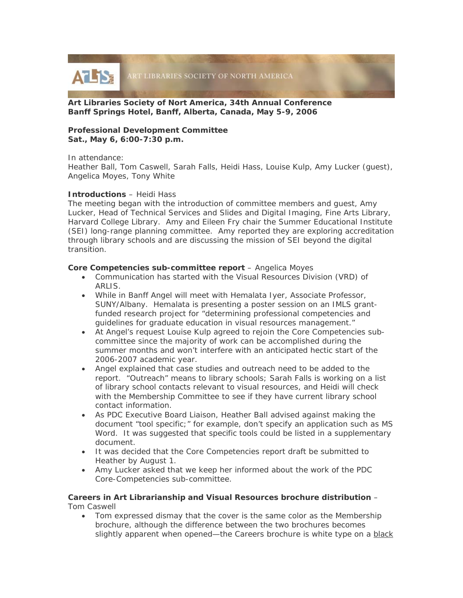

**Art Libraries Society of Nort America, 34th Annual Conference Banff Springs Hotel, Banff, Alberta, Canada, May 5-9, 2006** 

# **Professional Development Committee**

**Sat., May 6, 6:00-7:30 p.m.** 

In attendance:

Heather Ball, Tom Caswell, Sarah Falls, Heidi Hass, Louise Kulp, Amy Lucker (guest), Angelica Moyes, Tony White

## **Introductions** – Heidi Hass

The meeting began with the introduction of committee members and guest, Amy Lucker, Head of Technical Services and Slides and Digital Imaging, Fine Arts Library, Harvard College Library. Amy and Eileen Fry chair the Summer Educational Institute (SEI) long-range planning committee. Amy reported they are exploring accreditation through library schools and are discussing the mission of SEI beyond the digital transition.

## **Core Competencies sub-committee report** – Angelica Moyes

- Communication has started with the Visual Resources Division (VRD) of ARLIS.
- While in Banff Angel will meet with Hemalata Iyer, Associate Professor, SUNY/Albany. Hemalata is presenting a poster session on an IMLS grantfunded research project for "determining professional competencies and guidelines for graduate education in visual resources management."
- At Angel's request Louise Kulp agreed to rejoin the Core Competencies subcommittee since the majority of work can be accomplished during the summer months and won't interfere with an anticipated hectic start of the 2006-2007 academic year.
- Angel explained that case studies and outreach need to be added to the report. "Outreach" means to library schools; Sarah Falls is working on a list of library school contacts relevant to visual resources, and Heidi will check with the Membership Committee to see if they have current library school contact information.
- As PDC Executive Board Liaison, Heather Ball advised against making the document "tool specific;" for example, don't specify an application such as MS Word. It was suggested that specific tools could be listed in a supplementary document.
- It was decided that the Core Competencies report draft be submitted to Heather by August 1.
- Amy Lucker asked that we keep her informed about the work of the PDC Core-Competencies sub-committee.

## *Careers in Art Librarianship and Visual Resources* **brochure distribution** – Tom Caswell

• Tom expressed dismay that the cover is the same color as the Membership brochure, although the difference between the two brochures becomes slightly apparent when opened—the *Careers* brochure is white type on a black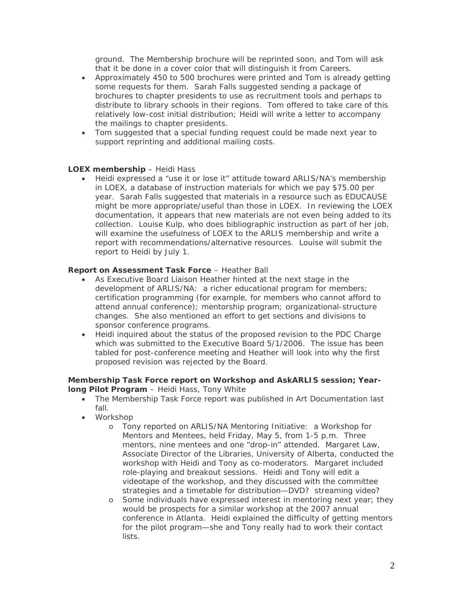ground. The Membership brochure will be reprinted soon, and Tom will ask that it be done in a cover color that will distinguish it from *Careers*.

- Approximately 450 to 500 brochures were printed and Tom is already getting some requests for them. Sarah Falls suggested sending a package of brochures to chapter presidents to use as recruitment tools and perhaps to distribute to library schools in their regions. Tom offered to take care of this relatively low-cost initial distribution; Heidi will write a letter to accompany the mailings to chapter presidents.
- Tom suggested that a special funding request could be made next year to support reprinting and additional mailing costs.

## **LOEX membership** – Heidi Hass

• Heidi expressed a "use it or lose it" attitude toward ARLIS/NA's membership in LOEX, a database of instruction materials for which we pay \$75.00 per year. Sarah Falls suggested that materials in a resource such as EDUCAUSE might be more appropriate/useful than those in LOEX. In reviewing the LOEX documentation, it appears that new materials are not even being added to its collection. Louise Kulp, who does bibliographic instruction as part of her job, will examine the usefulness of LOEX to the ARLIS membership and write a report with recommendations/alternative resources. Louise will submit the report to Heidi by July 1.

#### **Report on Assessment Task Force** – Heather Ball

- As Executive Board Liaison Heather hinted at the next stage in the development of ARLIS/NA: a richer educational program for members; certification programming (for example, for members who cannot afford to attend annual conference); mentorship program; organizational-structure changes. She also mentioned an effort to get sections and divisions to sponsor conference programs.
- Heidi inquired about the status of the proposed revision to the PDC Charge which was submitted to the Executive Board 5/1/2006. The issue has been tabled for post-conference meeting and Heather will look into why the first proposed revision was rejected by the Board.

#### **Membership Task Force report on Workshop and AskARLIS session; Yearlong Pilot Program** – Heidi Hass, Tony White

- The Membership Task Force report was published in Art Documentation last fall.
- Workshop
	- o Tony reported on *ARLIS/NA Mentoring Initiative: a Workshop for Mentors and Mentees*, held Friday, May 5, from 1-5 p.m. Three mentors, nine mentees and one "drop-in" attended. Margaret Law, Associate Director of the Libraries, University of Alberta, conducted the workshop with Heidi and Tony as co-moderators. Margaret included role-playing and breakout sessions. Heidi and Tony will edit a videotape of the workshop, and they discussed with the committee strategies and a timetable for distribution—DVD? streaming video?
	- o Some individuals have expressed interest in mentoring next year; they would be prospects for a similar workshop at the 2007 annual conference in Atlanta. Heidi explained the difficulty of getting mentors for the pilot program—she and Tony really had to work their contact lists.